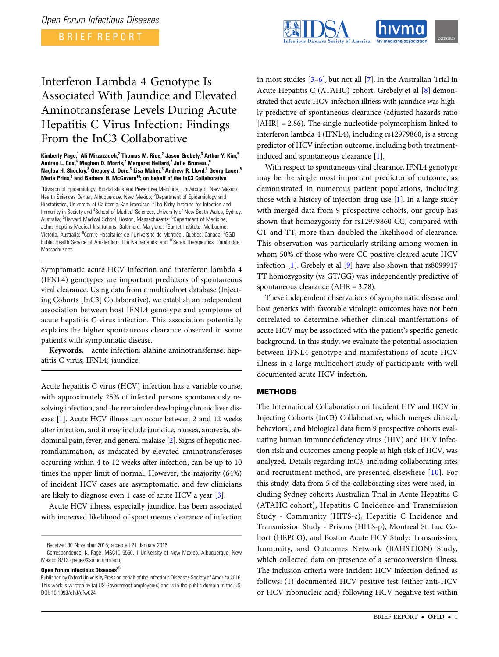BRIEF REPORT



# Interferon Lambda 4 Genotype Is Associated With Jaundice and Elevated Aminotransferase Levels During Acute Hepatitis C Virus Infection: Findings From the InC3 Collaborative

#### Kimberly Page,<sup>1</sup> Ali Mirzazadeh,<sup>2</sup> Thomas M. Rice,<sup>2</sup> Jason Grebely,<sup>3</sup> Arthur Y. Kim,<sup>5</sup> Andrea L. Cox,<sup>6</sup> Meghan D. Morris,<sup>2</sup> Margaret Hellard,<sup>7</sup> Julie Bruneau,<sup>8</sup> Naglaa H. Shoukry,<sup>8</sup> Gregory J. Dore,<sup>3</sup> Lisa Maher,<sup>3</sup> Andrew R. Lloyd,<sup>4</sup> Georg Lauer,<sup>5</sup> Maria Prins,<sup>9</sup> and Barbara H. McGovern<sup>10</sup>; on behalf of the InC3 Collaborative

<sup>1</sup>Division of Epidemiology, Biostatistics and Preventive Medicine, University of New Mexico Health Sciences Center, Albuquerque, New Mexico; <sup>2</sup>Department of Epidemiology and Biostatistics, University of California San Francisco; <sup>3</sup>The Kirby Institute for Infection and Immunity in Society and <sup>4</sup>School of Medical Sciences, University of New South Wales, Sydney, Australia; <sup>5</sup>Harvard Medical School, Boston, Massachusetts; <sup>6</sup>Department of Medicine, Johns Hopkins Medical Institutions, Baltimore, Maryland; <sup>7</sup>Burnet Institute, Melbourne, Victoria, Australia; <sup>8</sup>Centre Hospitalier de l'Université de Montréal, Quebec, Canada; <sup>9</sup>GGD Public Health Service of Amsterdam, The Netherlands; and <sup>10</sup>Seres Therapeutics, Cambridge, Massachusetts

Symptomatic acute HCV infection and interferon lambda 4 (IFNL4) genotypes are important predictors of spontaneous viral clearance. Using data from a multicohort database (Injecting Cohorts [InC3] Collaborative), we establish an independent association between host IFNL4 genotype and symptoms of acute hepatitis C virus infection. This association potentially explains the higher spontaneous clearance observed in some patients with symptomatic disease.

Keywords. acute infection; alanine aminotransferase; hepatitis C virus; IFNL4; jaundice.

Acute hepatitis C virus (HCV) infection has a variable course, with approximately 25% of infected persons spontaneously resolving infection, and the remainder developing chronic liver disease [\[1\]](#page-2-0). Acute HCV illness can occur between 2 and 12 weeks after infection, and it may include jaundice, nausea, anorexia, abdominal pain, fever, and general malaise [\[2\]](#page-2-0).Signs of hepatic necroinflammation, as indicated by elevated aminotransferases occurring within 4 to 12 weeks after infection, can be up to 10 times the upper limit of normal. However, the majority (64%) of incident HCV cases are asymptomatic, and few clinicians are likely to diagnose even 1 case of acute HCV a year [[3](#page-2-0)].

Acute HCV illness, especially jaundice, has been associated with increased likelihood of spontaneous clearance of infection

Received 30 November 2015; accepted 21 January 2016.

Open Forum Infectious Diseases®

in most studies [[3](#page-2-0)–[6\]](#page-2-0), but not all [[7](#page-2-0)]. In the Australian Trial in Acute Hepatitis C (ATAHC) cohort, Grebely et al [[8](#page-2-0)] demonstrated that acute HCV infection illness with jaundice was highly predictive of spontaneous clearance (adjusted hazards ratio [AHR] = 2.86). The single-nucleotide polymorphism linked to interferon lambda 4 (IFNL4), including rs12979860, is a strong predictor of HCV infection outcome, including both treatmentinduced and spontaneous clearance [[1\]](#page-2-0).

With respect to spontaneous viral clearance, IFNL4 genotype may be the single most important predictor of outcome, as demonstrated in numerous patient populations, including those with a history of injection drug use [\[1\]](#page-2-0). In a large study with merged data from 9 prospective cohorts, our group has shown that homozygosity for rs12979860 CC, compared with CT and TT, more than doubled the likelihood of clearance. This observation was particularly striking among women in whom 50% of those who were CC positive cleared acute HCV infection [[1](#page-2-0)]. Grebely et al [\[9\]](#page-2-0) have also shown that rs8099917 TT homozygosity (vs GT/GG) was independently predictive of spontaneous clearance (AHR = 3.78).

These independent observations of symptomatic disease and host genetics with favorable virologic outcomes have not been correlated to determine whether clinical manifestations of acute HCV may be associated with the patient's specific genetic background. In this study, we evaluate the potential association between IFNL4 genotype and manifestations of acute HCV illness in a large multicohort study of participants with well documented acute HCV infection.

## METHODS

The International Collaboration on Incident HIV and HCV in Injecting Cohorts (InC3) Collaborative, which merges clinical, behavioral, and biological data from 9 prospective cohorts evaluating human immunodeficiency virus (HIV) and HCV infection risk and outcomes among people at high risk of HCV, was analyzed. Details regarding InC3, including collaborating sites and recruitment method, are presented elsewhere [[10](#page-2-0)]. For this study, data from 5 of the collaborating sites were used, including Sydney cohorts Australian Trial in Acute Hepatitis C (ATAHC cohort), Hepatitis C Incidence and Transmission Study - Community (HITS-c), Hepatitis C Incidence and Transmission Study - Prisons (HITS-p), Montreal St. Luc Cohort (HEPCO), and Boston Acute HCV Study: Transmission, Immunity, and Outcomes Network (BAHSTION) Study, which collected data on presence of a seroconversion illness. The inclusion criteria were incident HCV infection defined as follows: (1) documented HCV positive test (either anti-HCV or HCV ribonucleic acid) following HCV negative test within

Correspondence: K. Page, MSC10 5550, 1 University of New Mexico, Albuquerque, New Mexico 8713 (pagek@salud.unm.edu).

Published by Oxford University Press on behalf of the Infectious Diseases Society of America 2016. This work is written by (a) US Government employee(s) and is in the public domain in the US. DOI: 10.1093/ofid/ofw024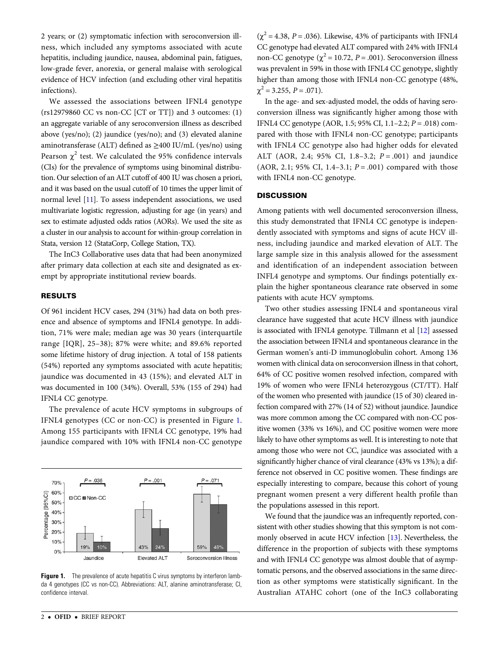2 years; or (2) symptomatic infection with seroconversion illness, which included any symptoms associated with acute hepatitis, including jaundice, nausea, abdominal pain, fatigues, low-grade fever, anorexia, or general malaise with serological evidence of HCV infection (and excluding other viral hepatitis infections).

We assessed the associations between IFNL4 genotype (rs12979860 CC vs non-CC [CT or TT]) and 3 outcomes: (1) an aggregate variable of any seroconversion illness as described above (yes/no); (2) jaundice (yes/no); and (3) elevated alanine aminotransferase (ALT) defined as ≥400 IU/mL (yes/no) using Pearson  $\chi^2$  test. We calculated the 95% confidence intervals (CIs) for the prevalence of symptoms using binominal distribution. Our selection of an ALT cutoff of 400 IU was chosen a priori, and it was based on the usual cutoff of 10 times the upper limit of normal level [\[11](#page-2-0)]. To assess independent associations, we used multivariate logistic regression, adjusting for age (in years) and sex to estimate adjusted odds ratios (AORs). We used the site as a cluster in our analysis to account for within-group correlation in Stata, version 12 (StataCorp, College Station, TX).

The InC3 Collaborative uses data that had been anonymized after primary data collection at each site and designated as exempt by appropriate institutional review boards.

## RESULTS

Of 961 incident HCV cases, 294 (31%) had data on both presence and absence of symptoms and IFNL4 genotype. In addition, 71% were male; median age was 30 years (interquartile range [IQR], 25–38); 87% were white; and 89.6% reported some lifetime history of drug injection. A total of 158 patients (54%) reported any symptoms associated with acute hepatitis; jaundice was documented in 43 (15%); and elevated ALT in was documented in 100 (34%). Overall, 53% (155 of 294) had IFNL4 CC genotype.

The prevalence of acute HCV symptoms in subgroups of IFNL4 genotypes (CC or non-CC) is presented in Figure 1. Among 155 participants with IFNL4 CC genotype, 19% had jaundice compared with 10% with IFNL4 non-CC genotype



Figure 1. The prevalence of acute hepatitis C virus symptoms by interferon lambda 4 genotypes (CC vs non-CC). Abbreviations: ALT, alanine aminotransferase; CI, confidence interval.

 $(\chi^2 = 4.38, P = .036)$ . Likewise, 43% of participants with IFNL4 CC genotype had elevated ALT compared with 24% with IFNL4 non-CC genotype ( $\chi^2$  = 10.72, *P* = .001). Seroconversion illness was prevalent in 59% in those with IFNL4 CC genotype, slightly higher than among those with IFNL4 non-CC genotype (48%,  $\chi^2$  = 3.255, P = .071).

In the age- and sex-adjusted model, the odds of having seroconversion illness was significantly higher among those with IFNL4 CC genotype (AOR, 1.5; 95% CI, 1.1–2.2;  $P = .018$ ) compared with those with IFNL4 non-CC genotype; participants with IFNL4 CC genotype also had higher odds for elevated ALT (AOR, 2.4; 95% CI, 1.8-3.2;  $P = .001$ ) and jaundice (AOR, 2.1; 95% CI, 1.4–3.1;  $P = .001$ ) compared with those with IFNL4 non-CC genotype.

## **DISCUSSION**

Among patients with well documented seroconversion illness, this study demonstrated that IFNL4 CC genotype is independently associated with symptoms and signs of acute HCV illness, including jaundice and marked elevation of ALT. The large sample size in this analysis allowed for the assessment and identification of an independent association between INFL4 genotype and symptoms. Our findings potentially explain the higher spontaneous clearance rate observed in some patients with acute HCV symptoms.

Two other studies assessing IFNL4 and spontaneous viral clearance have suggested that acute HCV illness with jaundice is associated with IFNL4 genotype. Tillmann et al [[12\]](#page-2-0) assessed the association between IFNL4 and spontaneous clearance in the German women's anti-D immunoglobulin cohort. Among 136 women with clinical data on seroconversion illness in that cohort, 64% of CC positive women resolved infection, compared with 19% of women who were IFNL4 heterozygous (CT/TT). Half of the women who presented with jaundice (15 of 30) cleared infection compared with 27% (14 of 52) without jaundice. Jaundice was more common among the CC compared with non-CC positive women (33% vs 16%), and CC positive women were more likely to have other symptoms as well. It is interesting to note that among those who were not CC, jaundice was associated with a significantly higher chance of viral clearance (43% vs 13%); a difference not observed in CC positive women. These findings are especially interesting to compare, because this cohort of young pregnant women present a very different health profile than the populations assessed in this report.

We found that the jaundice was an infrequently reported, consistent with other studies showing that this symptom is not commonly observed in acute HCV infection [\[13](#page-2-0)]. Nevertheless, the difference in the proportion of subjects with these symptoms and with IFNL4 CC genotype was almost double that of asymptomatic persons, and the observed associations in the same direction as other symptoms were statistically significant. In the Australian ATAHC cohort (one of the InC3 collaborating